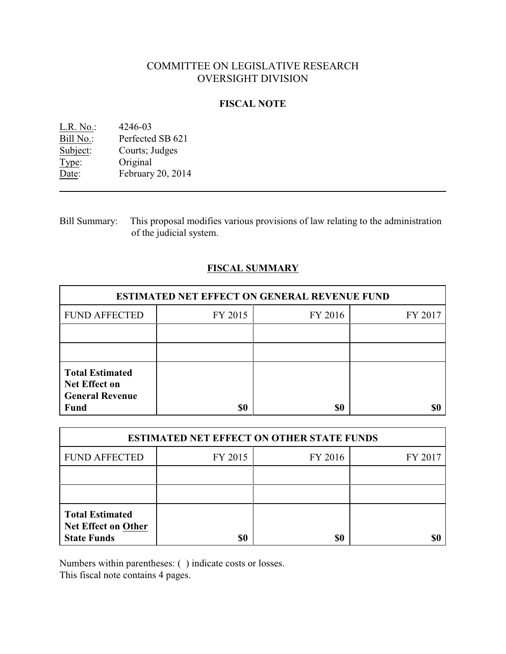# COMMITTEE ON LEGISLATIVE RESEARCH OVERSIGHT DIVISION

# **FISCAL NOTE**

| L.R. No.  | 4246-03           |
|-----------|-------------------|
| Bill No.: | Perfected SB 621  |
| Subject:  | Courts; Judges    |
| Type:     | Original          |
| Date:     | February 20, 2014 |

Bill Summary: This proposal modifies various provisions of law relating to the administration of the judicial system.

# **FISCAL SUMMARY**

| <b>ESTIMATED NET EFFECT ON GENERAL REVENUE FUND</b>                                     |         |         |         |  |
|-----------------------------------------------------------------------------------------|---------|---------|---------|--|
| <b>FUND AFFECTED</b>                                                                    | FY 2015 | FY 2016 | FY 2017 |  |
|                                                                                         |         |         |         |  |
|                                                                                         |         |         |         |  |
| <b>Total Estimated</b><br><b>Net Effect on</b><br><b>General Revenue</b><br><b>Fund</b> | \$0     | \$0     |         |  |

| <b>ESTIMATED NET EFFECT ON OTHER STATE FUNDS</b>                           |         |         |         |  |
|----------------------------------------------------------------------------|---------|---------|---------|--|
| <b>FUND AFFECTED</b>                                                       | FY 2015 | FY 2016 | FY 2017 |  |
|                                                                            |         |         |         |  |
|                                                                            |         |         |         |  |
| <b>Total Estimated</b><br><b>Net Effect on Other</b><br><b>State Funds</b> | \$0     | \$0     |         |  |

Numbers within parentheses: ( ) indicate costs or losses.

This fiscal note contains 4 pages.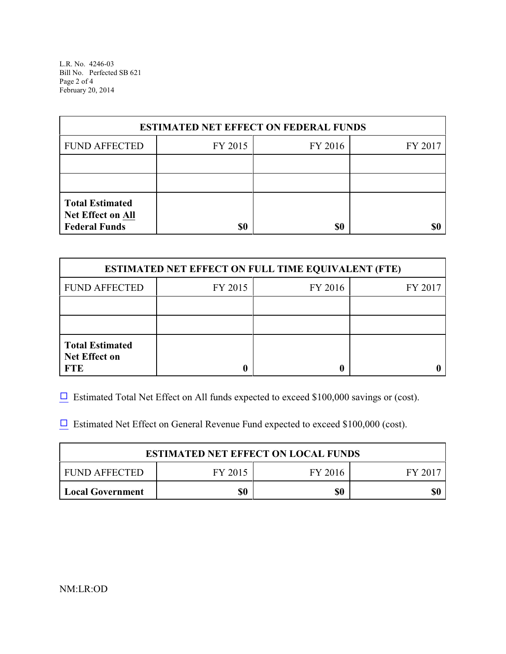L.R. No. 4246-03 Bill No. Perfected SB 621 Page 2 of 4 February 20, 2014

| <b>ESTIMATED NET EFFECT ON FEDERAL FUNDS</b>                        |         |         |         |  |
|---------------------------------------------------------------------|---------|---------|---------|--|
| <b>FUND AFFECTED</b>                                                | FY 2015 | FY 2016 | FY 2017 |  |
|                                                                     |         |         |         |  |
|                                                                     |         |         |         |  |
| <b>Total Estimated</b><br>Net Effect on All<br><b>Federal Funds</b> | \$0     | \$0     | \$0     |  |

| <b>ESTIMATED NET EFFECT ON FULL TIME EQUIVALENT (FTE)</b>    |         |         |         |  |
|--------------------------------------------------------------|---------|---------|---------|--|
| <b>FUND AFFECTED</b>                                         | FY 2015 | FY 2016 | FY 2017 |  |
|                                                              |         |         |         |  |
|                                                              |         |         |         |  |
| <b>Total Estimated</b><br><b>Net Effect on</b><br><b>FTE</b> |         |         |         |  |

 $\Box$  Estimated Total Net Effect on All funds expected to exceed \$100,000 savings or (cost).

 $\Box$  Estimated Net Effect on General Revenue Fund expected to exceed \$100,000 (cost).

| <b>ESTIMATED NET EFFECT ON LOCAL FUNDS</b>    |  |  |  |  |  |
|-----------------------------------------------|--|--|--|--|--|
| FY 2015<br>FUND AFFECTED<br>FY 2016<br>FY 201 |  |  |  |  |  |
| \$0<br>\$0<br>\$0<br><b>Local Government</b>  |  |  |  |  |  |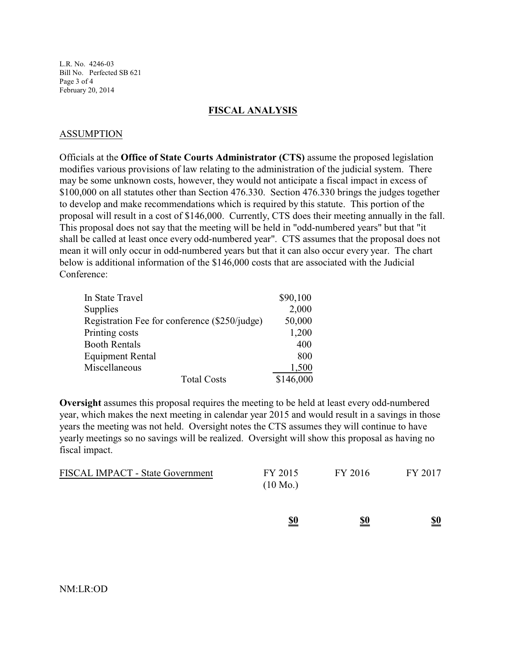L.R. No. 4246-03 Bill No. Perfected SB 621 Page 3 of 4 February 20, 2014

#### **FISCAL ANALYSIS**

## ASSUMPTION

Officials at the **Office of State Courts Administrator (CTS)** assume the proposed legislation modifies various provisions of law relating to the administration of the judicial system. There may be some unknown costs, however, they would not anticipate a fiscal impact in excess of \$100,000 on all statutes other than Section 476.330. Section 476.330 brings the judges together to develop and make recommendations which is required by this statute. This portion of the proposal will result in a cost of \$146,000. Currently, CTS does their meeting annually in the fall. This proposal does not say that the meeting will be held in "odd-numbered years" but that "it shall be called at least once every odd-numbered year". CTS assumes that the proposal does not mean it will only occur in odd-numbered years but that it can also occur every year. The chart below is additional information of the \$146,000 costs that are associated with the Judicial Conference:

| In State Travel                               | \$90,100  |
|-----------------------------------------------|-----------|
| Supplies                                      | 2,000     |
| Registration Fee for conference (\$250/judge) | 50,000    |
| Printing costs                                | 1,200     |
| <b>Booth Rentals</b>                          | 400       |
| <b>Equipment Rental</b>                       | 800       |
| Miscellaneous                                 | 1,500     |
| <b>Total Costs</b>                            | \$146,000 |

**Oversight** assumes this proposal requires the meeting to be held at least every odd-numbered year, which makes the next meeting in calendar year 2015 and would result in a savings in those years the meeting was not held. Oversight notes the CTS assumes they will continue to have yearly meetings so no savings will be realized. Oversight will show this proposal as having no fiscal impact.

|                                  | <u>\$0</u>                    | <u>\$0</u> | $\underline{\underline{\$0}}$ |
|----------------------------------|-------------------------------|------------|-------------------------------|
| FISCAL IMPACT - State Government | FY 2015<br>$(10 \text{ Mo.})$ | FY 2016    | FY 2017                       |